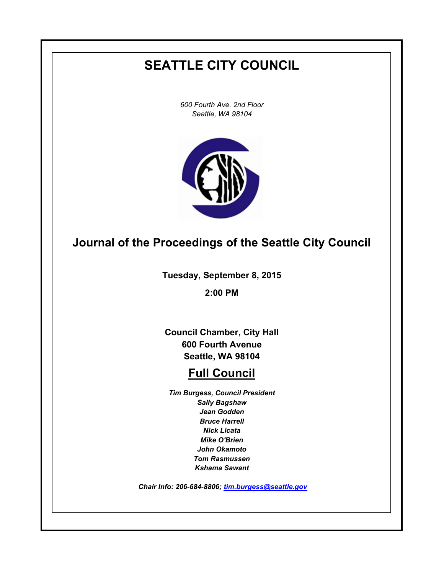# **SEATTLE CITY COUNCIL**

*600 Fourth Ave. 2nd Floor Seattle, WA 98104*



# **Journal of the Proceedings of the Seattle City Council**

**Tuesday, September 8, 2015**

**2:00 PM**

**Council Chamber, City Hall 600 Fourth Avenue Seattle, WA 98104**

# **Full Council**

*Tim Burgess, Council President Sally Bagshaw Jean Godden Bruce Harrell Nick Licata Mike O'Brien John Okamoto Tom Rasmussen Kshama Sawant*

 *Chair Info: 206-684-8806; [tim.burgess@seattle.gov](mailto:tim.burgess@seattle.gov)*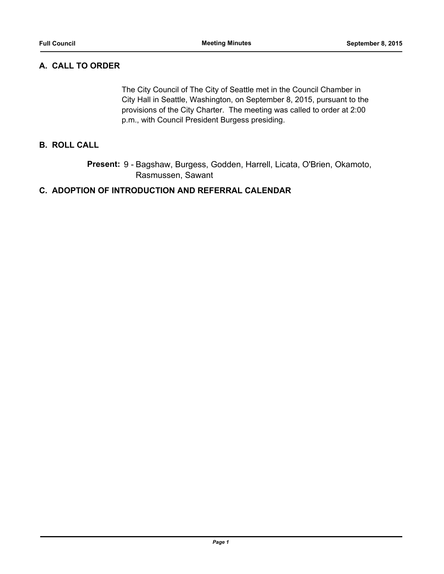# **A. CALL TO ORDER**

The City Council of The City of Seattle met in the Council Chamber in City Hall in Seattle, Washington, on September 8, 2015, pursuant to the provisions of the City Charter. The meeting was called to order at 2:00 p.m., with Council President Burgess presiding.

# **B. ROLL CALL**

Present: 9 - Bagshaw, Burgess, Godden, Harrell, Licata, O'Brien, Okamoto, Rasmussen, Sawant

### **C. ADOPTION OF INTRODUCTION AND REFERRAL CALENDAR**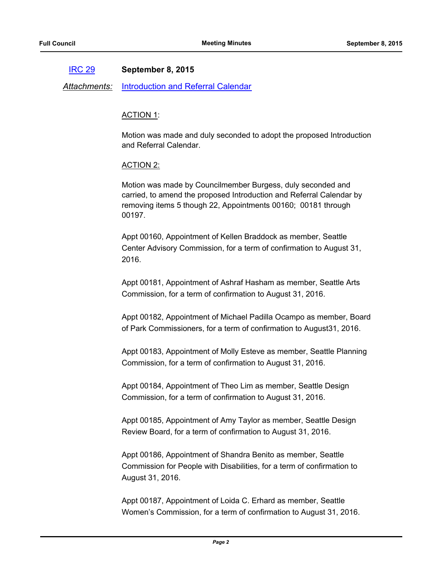#### [IRC 29](http://seattle.legistar.com/gateway.aspx?m=l&id=/matter.aspx?key=2911) **September 8, 2015**

*Attachments:* [Introduction and Referral Calendar](http://seattle.legistar.com/gateway.aspx?M=F&ID=eb1566d3-bea2-4b7a-a204-4586ea1eb691.pdf)

#### ACTION 1:

Motion was made and duly seconded to adopt the proposed Introduction and Referral Calendar.

### ACTION 2:

Motion was made by Councilmember Burgess, duly seconded and carried, to amend the proposed Introduction and Referral Calendar by removing items 5 though 22, Appointments 00160; 00181 through 00197.

Appt 00160, Appointment of Kellen Braddock as member, Seattle Center Advisory Commission, for a term of confirmation to August 31, 2016.

Appt 00181, Appointment of Ashraf Hasham as member, Seattle Arts Commission, for a term of confirmation to August 31, 2016.

Appt 00182, Appointment of Michael Padilla Ocampo as member, Board of Park Commissioners, for a term of confirmation to August31, 2016.

Appt 00183, Appointment of Molly Esteve as member, Seattle Planning Commission, for a term of confirmation to August 31, 2016.

Appt 00184, Appointment of Theo Lim as member, Seattle Design Commission, for a term of confirmation to August 31, 2016.

Appt 00185, Appointment of Amy Taylor as member, Seattle Design Review Board, for a term of confirmation to August 31, 2016.

Appt 00186, Appointment of Shandra Benito as member, Seattle Commission for People with Disabilities, for a term of confirmation to August 31, 2016.

Appt 00187, Appointment of Loida C. Erhard as member, Seattle Women's Commission, for a term of confirmation to August 31, 2016.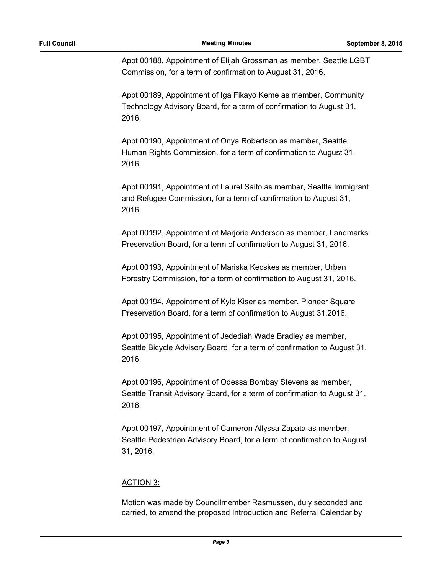Appt 00188, Appointment of Elijah Grossman as member, Seattle LGBT Commission, for a term of confirmation to August 31, 2016.

Appt 00189, Appointment of Iga Fikayo Keme as member, Community Technology Advisory Board, for a term of confirmation to August 31, 2016.

Appt 00190, Appointment of Onya Robertson as member, Seattle Human Rights Commission, for a term of confirmation to August 31, 2016.

Appt 00191, Appointment of Laurel Saito as member, Seattle Immigrant and Refugee Commission, for a term of confirmation to August 31, 2016.

Appt 00192, Appointment of Marjorie Anderson as member, Landmarks Preservation Board, for a term of confirmation to August 31, 2016.

Appt 00193, Appointment of Mariska Kecskes as member, Urban Forestry Commission, for a term of confirmation to August 31, 2016.

Appt 00194, Appointment of Kyle Kiser as member, Pioneer Square Preservation Board, for a term of confirmation to August 31,2016.

Appt 00195, Appointment of Jedediah Wade Bradley as member, Seattle Bicycle Advisory Board, for a term of confirmation to August 31, 2016.

Appt 00196, Appointment of Odessa Bombay Stevens as member, Seattle Transit Advisory Board, for a term of confirmation to August 31, 2016.

Appt 00197, Appointment of Cameron Allyssa Zapata as member, Seattle Pedestrian Advisory Board, for a term of confirmation to August 31, 2016.

# ACTION 3:

Motion was made by Councilmember Rasmussen, duly seconded and carried, to amend the proposed Introduction and Referral Calendar by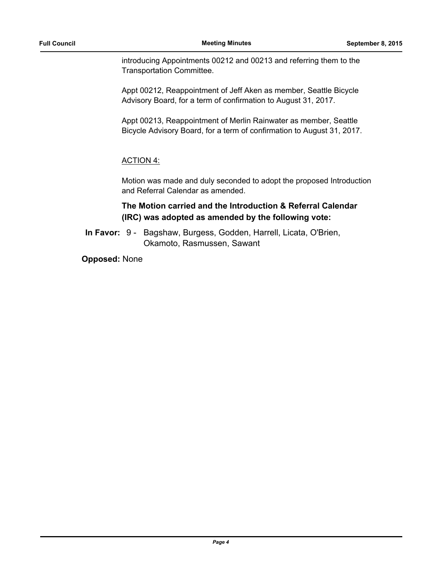introducing Appointments 00212 and 00213 and referring them to the Transportation Committee.

Appt 00212, Reappointment of Jeff Aken as member, Seattle Bicycle Advisory Board, for a term of confirmation to August 31, 2017.

Appt 00213, Reappointment of Merlin Rainwater as member, Seattle Bicycle Advisory Board, for a term of confirmation to August 31, 2017.

# ACTION 4:

Motion was made and duly seconded to adopt the proposed Introduction and Referral Calendar as amended.

# **The Motion carried and the Introduction & Referral Calendar (IRC) was adopted as amended by the following vote:**

In Favor: 9 - Bagshaw, Burgess, Godden, Harrell, Licata, O'Brien, Okamoto, Rasmussen, Sawant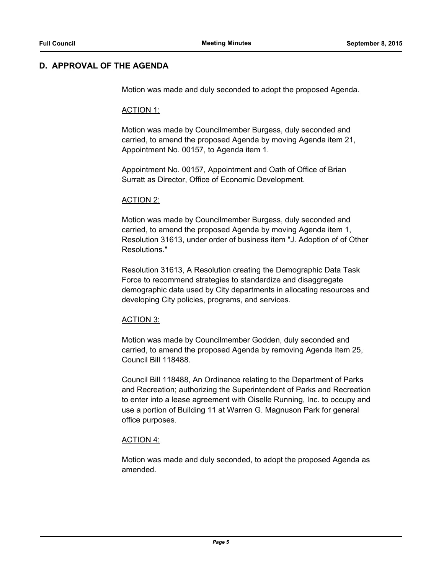### **D. APPROVAL OF THE AGENDA**

Motion was made and duly seconded to adopt the proposed Agenda.

#### ACTION 1:

Motion was made by Councilmember Burgess, duly seconded and carried, to amend the proposed Agenda by moving Agenda item 21, Appointment No. 00157, to Agenda item 1.

Appointment No. 00157, Appointment and Oath of Office of Brian Surratt as Director, Office of Economic Development.

#### ACTION 2:

Motion was made by Councilmember Burgess, duly seconded and carried, to amend the proposed Agenda by moving Agenda item 1, Resolution 31613, under order of business item "J. Adoption of of Other Resolutions."

Resolution 31613, A Resolution creating the Demographic Data Task Force to recommend strategies to standardize and disaggregate demographic data used by City departments in allocating resources and developing City policies, programs, and services.

#### ACTION 3:

Motion was made by Councilmember Godden, duly seconded and carried, to amend the proposed Agenda by removing Agenda Item 25, Council Bill 118488.

Council Bill 118488, An Ordinance relating to the Department of Parks and Recreation; authorizing the Superintendent of Parks and Recreation to enter into a lease agreement with Oiselle Running, Inc. to occupy and use a portion of Building 11 at Warren G. Magnuson Park for general office purposes.

#### ACTION 4:

Motion was made and duly seconded, to adopt the proposed Agenda as amended.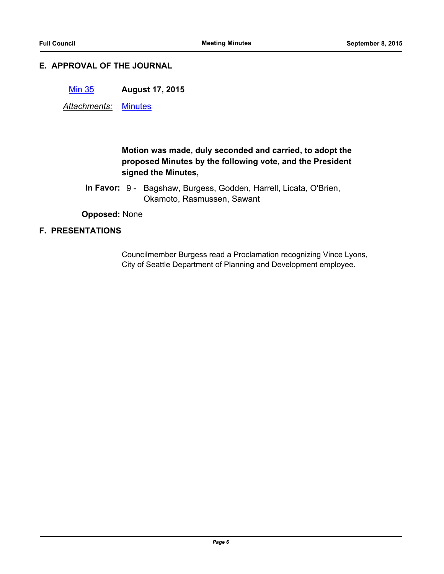### **E. APPROVAL OF THE JOURNAL**

[Min 35](http://seattle.legistar.com/gateway.aspx?m=l&id=/matter.aspx?key=2880) **August 17, 2015**

*Attachments:* [Minutes](http://seattle.legistar.com/gateway.aspx?M=F&ID=925eb678-cc71-480d-b205-4d27e2abc493.pdf)

# **Motion was made, duly seconded and carried, to adopt the proposed Minutes by the following vote, and the President signed the Minutes,**

In Favor: 9 - Bagshaw, Burgess, Godden, Harrell, Licata, O'Brien, Okamoto, Rasmussen, Sawant

**Opposed:** None

### **F. PRESENTATIONS**

Councilmember Burgess read a Proclamation recognizing Vince Lyons, City of Seattle Department of Planning and Development employee.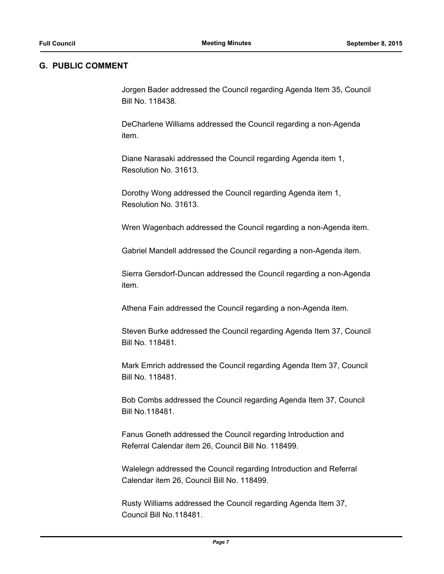#### **G. PUBLIC COMMENT**

Jorgen Bader addressed the Council regarding Agenda Item 35, Council Bill No. 118438.

DeCharlene Williams addressed the Council regarding a non-Agenda item.

Diane Narasaki addressed the Council regarding Agenda item 1, Resolution No. 31613.

Dorothy Wong addressed the Council regarding Agenda item 1, Resolution No. 31613.

Wren Wagenbach addressed the Council regarding a non-Agenda item.

Gabriel Mandell addressed the Council regarding a non-Agenda item.

Sierra Gersdorf-Duncan addressed the Council regarding a non-Agenda item.

Athena Fain addressed the Council regarding a non-Agenda item.

Steven Burke addressed the Council regarding Agenda Item 37, Council Bill No. 118481.

Mark Emrich addressed the Council regarding Agenda Item 37, Council Bill No. 118481.

Bob Combs addressed the Council regarding Agenda Item 37, Council Bill No.118481.

Fanus Goneth addressed the Council regarding Introduction and Referral Calendar item 26, Council Bill No. 118499.

Walelegn addressed the Council regarding Introduction and Referral Calendar item 26, Council Bill No. 118499.

Rusty Williams addressed the Council regarding Agenda Item 37, Council Bill No.118481.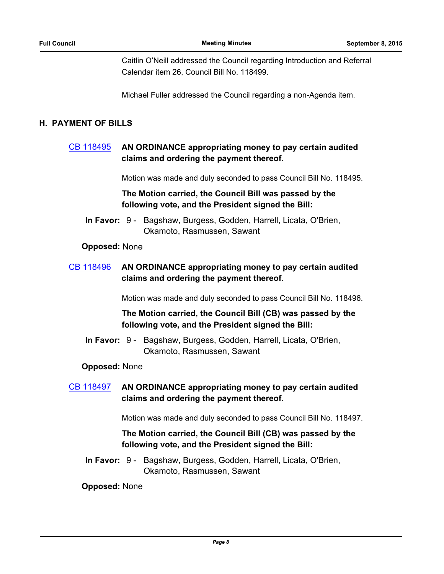Caitlin O'Neill addressed the Council regarding Introduction and Referral Calendar item 26, Council Bill No. 118499.

Michael Fuller addressed the Council regarding a non-Agenda item.

### **H. PAYMENT OF BILLS**

# [CB 118495](http://seattle.legistar.com/gateway.aspx?m=l&id=/matter.aspx?key=2897) **AN ORDINANCE appropriating money to pay certain audited claims and ordering the payment thereof.**

Motion was made and duly seconded to pass Council Bill No. 118495.

### **The Motion carried, the Council Bill was passed by the following vote, and the President signed the Bill:**

In Favor: 9 - Bagshaw, Burgess, Godden, Harrell, Licata, O'Brien, Okamoto, Rasmussen, Sawant

### **Opposed:** None

# [CB 118496](http://seattle.legistar.com/gateway.aspx?m=l&id=/matter.aspx?key=2898) **AN ORDINANCE appropriating money to pay certain audited claims and ordering the payment thereof.**

Motion was made and duly seconded to pass Council Bill No. 118496.

# **The Motion carried, the Council Bill (CB) was passed by the following vote, and the President signed the Bill:**

In Favor: 9 - Bagshaw, Burgess, Godden, Harrell, Licata, O'Brien, Okamoto, Rasmussen, Sawant

### **Opposed:** None

[CB 118497](http://seattle.legistar.com/gateway.aspx?m=l&id=/matter.aspx?key=2899) **AN ORDINANCE appropriating money to pay certain audited claims and ordering the payment thereof.**

Motion was made and duly seconded to pass Council Bill No. 118497.

# **The Motion carried, the Council Bill (CB) was passed by the following vote, and the President signed the Bill:**

In Favor: 9 - Bagshaw, Burgess, Godden, Harrell, Licata, O'Brien, Okamoto, Rasmussen, Sawant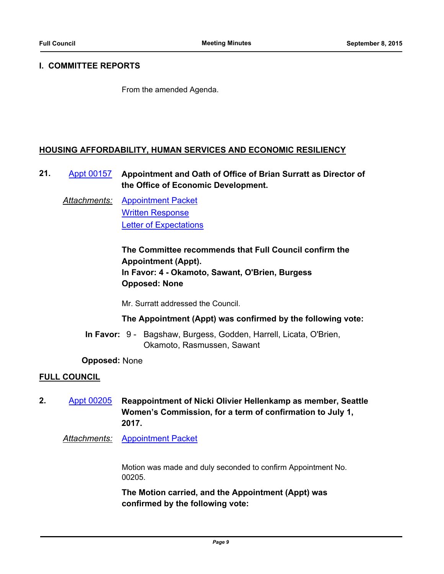### **I. COMMITTEE REPORTS**

From the amended Agenda.

### **HOUSING AFFORDABILITY, HUMAN SERVICES AND ECONOMIC RESILIENCY**

**21.** [Appt 00157](http://seattle.legistar.com/gateway.aspx?m=l&id=/matter.aspx?key=2619) **Appointment and Oath of Office of Brian Surratt as Director of the Office of Economic Development.**

*Attachments:* [Appointment Packet](http://seattle.legistar.com/gateway.aspx?M=F&ID=74b9ae36-e46d-436a-8978-234d6ed29915.pdf) [Written Response](http://seattle.legistar.com/gateway.aspx?M=F&ID=7926bdb1-ff1d-4cc5-b655-bf5239a8d516.pdf) [Letter of Expectations](http://seattle.legistar.com/gateway.aspx?M=F&ID=628f8b42-de8c-407d-a5de-a9d5124c700b.pdf)

> **The Committee recommends that Full Council confirm the Appointment (Appt). In Favor: 4 - Okamoto, Sawant, O'Brien, Burgess Opposed: None**

Mr. Surratt addressed the Council.

### **The Appointment (Appt) was confirmed by the following vote:**

In Favor: 9 - Bagshaw, Burgess, Godden, Harrell, Licata, O'Brien, Okamoto, Rasmussen, Sawant

**Opposed:** None

### **FULL COUNCIL**

- **2.** [Appt 00205](http://seattle.legistar.com/gateway.aspx?m=l&id=/matter.aspx?key=2860) **Reappointment of Nicki Olivier Hellenkamp as member, Seattle Women's Commission, for a term of confirmation to July 1, 2017.**
	- *Attachments:* [Appointment Packet](http://seattle.legistar.com/gateway.aspx?M=F&ID=1b44d854-017e-43a8-a589-60ccfbdf64a7.pdf)

Motion was made and duly seconded to confirm Appointment No. 00205.

**The Motion carried, and the Appointment (Appt) was confirmed by the following vote:**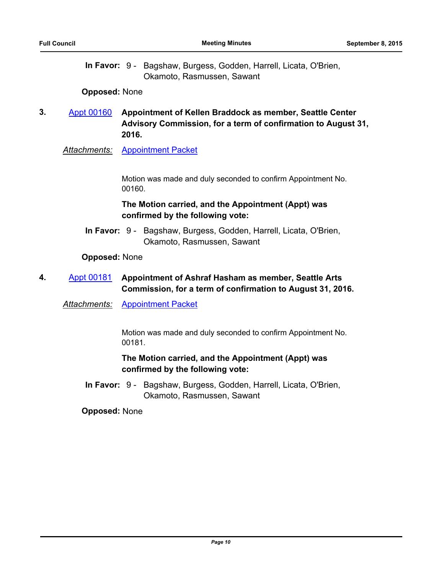In Favor: 9 - Bagshaw, Burgess, Godden, Harrell, Licata, O'Brien, Okamoto, Rasmussen, Sawant

#### **Opposed:** None

**3.** [Appt 00160](http://seattle.legistar.com/gateway.aspx?m=l&id=/matter.aspx?key=2684) **Appointment of Kellen Braddock as member, Seattle Center Advisory Commission, for a term of confirmation to August 31, 2016.**

*Attachments:* [Appointment Packet](http://seattle.legistar.com/gateway.aspx?M=F&ID=4c43b4a6-6237-4e30-a882-1e8d66769d8b.pdf)

Motion was made and duly seconded to confirm Appointment No. 00160.

### **The Motion carried, and the Appointment (Appt) was confirmed by the following vote:**

In Favor: 9 - Bagshaw, Burgess, Godden, Harrell, Licata, O'Brien, Okamoto, Rasmussen, Sawant

#### **Opposed:** None

# **4.** [Appt 00181](http://seattle.legistar.com/gateway.aspx?m=l&id=/matter.aspx?key=2793) **Appointment of Ashraf Hasham as member, Seattle Arts Commission, for a term of confirmation to August 31, 2016.**

*Attachments:* [Appointment Packet](http://seattle.legistar.com/gateway.aspx?M=F&ID=9fd415b1-2e54-4fc2-b024-a4914ffb9144.pdf)

Motion was made and duly seconded to confirm Appointment No. 00181.

# **The Motion carried, and the Appointment (Appt) was confirmed by the following vote:**

In Favor: 9 - Bagshaw, Burgess, Godden, Harrell, Licata, O'Brien, Okamoto, Rasmussen, Sawant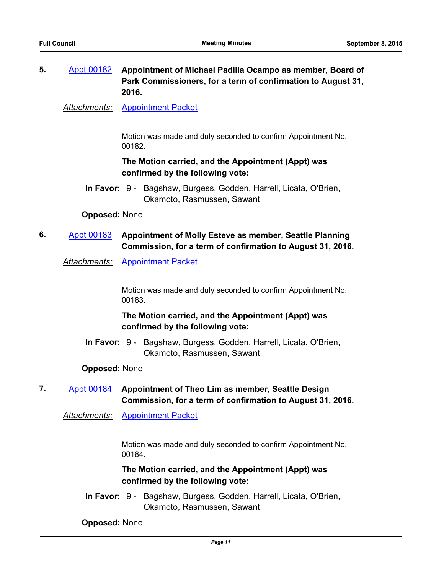# **5.** [Appt 00182](http://seattle.legistar.com/gateway.aspx?m=l&id=/matter.aspx?key=2794) **Appointment of Michael Padilla Ocampo as member, Board of Park Commissioners, for a term of confirmation to August 31, 2016.**

*Attachments:* [Appointment Packet](http://seattle.legistar.com/gateway.aspx?M=F&ID=f4d72ac1-b2e1-4c7b-b16c-15cc4935be73.pdf)

Motion was made and duly seconded to confirm Appointment No. 00182.

### **The Motion carried, and the Appointment (Appt) was confirmed by the following vote:**

In Favor: 9 - Bagshaw, Burgess, Godden, Harrell, Licata, O'Brien, Okamoto, Rasmussen, Sawant

#### **Opposed:** None

# **6.** [Appt 00183](http://seattle.legistar.com/gateway.aspx?m=l&id=/matter.aspx?key=2795) **Appointment of Molly Esteve as member, Seattle Planning Commission, for a term of confirmation to August 31, 2016.**

*Attachments:* [Appointment Packet](http://seattle.legistar.com/gateway.aspx?M=F&ID=97e902be-ed94-4855-a51b-cde3dc9cbc73.pdf)

Motion was made and duly seconded to confirm Appointment No. 00183.

# **The Motion carried, and the Appointment (Appt) was confirmed by the following vote:**

In Favor: 9 - Bagshaw, Burgess, Godden, Harrell, Licata, O'Brien, Okamoto, Rasmussen, Sawant

#### **Opposed:** None

# **7.** [Appt 00184](http://seattle.legistar.com/gateway.aspx?m=l&id=/matter.aspx?key=2796) **Appointment of Theo Lim as member, Seattle Design Commission, for a term of confirmation to August 31, 2016.**

*Attachments:* [Appointment Packet](http://seattle.legistar.com/gateway.aspx?M=F&ID=ae077e01-ffa1-4d0a-a6fc-fe6c599fa50b.pdf)

Motion was made and duly seconded to confirm Appointment No. 00184.

**The Motion carried, and the Appointment (Appt) was confirmed by the following vote:**

In Favor: 9 - Bagshaw, Burgess, Godden, Harrell, Licata, O'Brien, Okamoto, Rasmussen, Sawant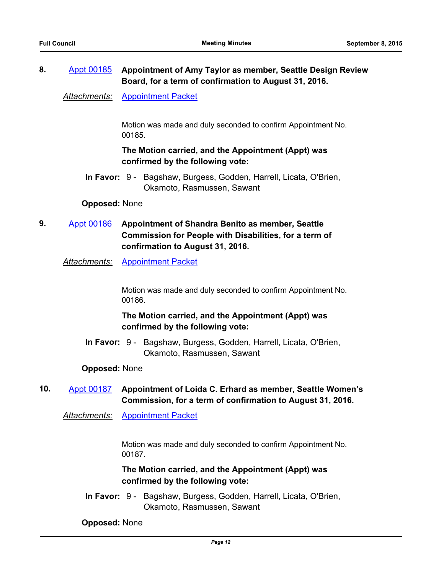# **8.** [Appt 00185](http://seattle.legistar.com/gateway.aspx?m=l&id=/matter.aspx?key=2797) **Appointment of Amy Taylor as member, Seattle Design Review Board, for a term of confirmation to August 31, 2016.**

*Attachments:* [Appointment Packet](http://seattle.legistar.com/gateway.aspx?M=F&ID=1bd9b66c-569f-4da3-995f-49dbf316011d.pdf)

Motion was made and duly seconded to confirm Appointment No. 00185.

# **The Motion carried, and the Appointment (Appt) was confirmed by the following vote:**

In Favor: 9 - Bagshaw, Burgess, Godden, Harrell, Licata, O'Brien, Okamoto, Rasmussen, Sawant

#### **Opposed:** None

**9.** [Appt 00186](http://seattle.legistar.com/gateway.aspx?m=l&id=/matter.aspx?key=2798) **Appointment of Shandra Benito as member, Seattle Commission for People with Disabilities, for a term of confirmation to August 31, 2016.**

*Attachments:* [Appointment Packet](http://seattle.legistar.com/gateway.aspx?M=F&ID=c293a200-a02e-4fdb-9b3e-28604c26a3ec.pdf)

Motion was made and duly seconded to confirm Appointment No. 00186.

# **The Motion carried, and the Appointment (Appt) was confirmed by the following vote:**

In Favor: 9 - Bagshaw, Burgess, Godden, Harrell, Licata, O'Brien, Okamoto, Rasmussen, Sawant

#### **Opposed:** None

# **10.** [Appt 00187](http://seattle.legistar.com/gateway.aspx?m=l&id=/matter.aspx?key=2799) **Appointment of Loida C. Erhard as member, Seattle Women's Commission, for a term of confirmation to August 31, 2016.**

*Attachments:* [Appointment Packet](http://seattle.legistar.com/gateway.aspx?M=F&ID=df09568b-d6f1-4fbf-a64b-1877b88eef63.pdf)

Motion was made and duly seconded to confirm Appointment No. 00187.

### **The Motion carried, and the Appointment (Appt) was confirmed by the following vote:**

In Favor: 9 - Bagshaw, Burgess, Godden, Harrell, Licata, O'Brien, Okamoto, Rasmussen, Sawant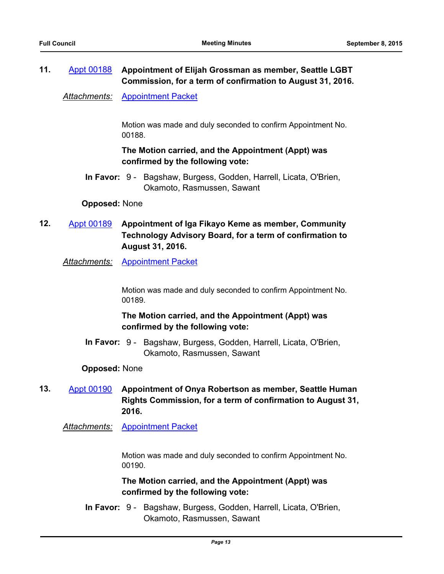# **11.** [Appt 00188](http://seattle.legistar.com/gateway.aspx?m=l&id=/matter.aspx?key=2800) **Appointment of Elijah Grossman as member, Seattle LGBT Commission, for a term of confirmation to August 31, 2016.**

*Attachments:* [Appointment Packet](http://seattle.legistar.com/gateway.aspx?M=F&ID=f39d7bed-66a4-4d41-a6d2-fe735c18f6f9.pdf)

Motion was made and duly seconded to confirm Appointment No. 00188.

# **The Motion carried, and the Appointment (Appt) was confirmed by the following vote:**

In Favor: 9 - Bagshaw, Burgess, Godden, Harrell, Licata, O'Brien, Okamoto, Rasmussen, Sawant

### **Opposed:** None

- **12.** [Appt 00189](http://seattle.legistar.com/gateway.aspx?m=l&id=/matter.aspx?key=2801) **Appointment of Iga Fikayo Keme as member, Community Technology Advisory Board, for a term of confirmation to August 31, 2016.**
	- *Attachments:* [Appointment Packet](http://seattle.legistar.com/gateway.aspx?M=F&ID=9fb36503-072b-4bef-a9bc-baa0b840c0d0.pdf)

Motion was made and duly seconded to confirm Appointment No. 00189.

# **The Motion carried, and the Appointment (Appt) was confirmed by the following vote:**

In Favor: 9 - Bagshaw, Burgess, Godden, Harrell, Licata, O'Brien, Okamoto, Rasmussen, Sawant

### **Opposed:** None

# **13.** [Appt 00190](http://seattle.legistar.com/gateway.aspx?m=l&id=/matter.aspx?key=2802) **Appointment of Onya Robertson as member, Seattle Human Rights Commission, for a term of confirmation to August 31, 2016.**

*Attachments:* [Appointment Packet](http://seattle.legistar.com/gateway.aspx?M=F&ID=38fa38ef-8222-4054-ae10-5d93ee1f29f5.pdf)

Motion was made and duly seconded to confirm Appointment No. 00190.

# **The Motion carried, and the Appointment (Appt) was confirmed by the following vote:**

In Favor: 9 - Bagshaw, Burgess, Godden, Harrell, Licata, O'Brien, Okamoto, Rasmussen, Sawant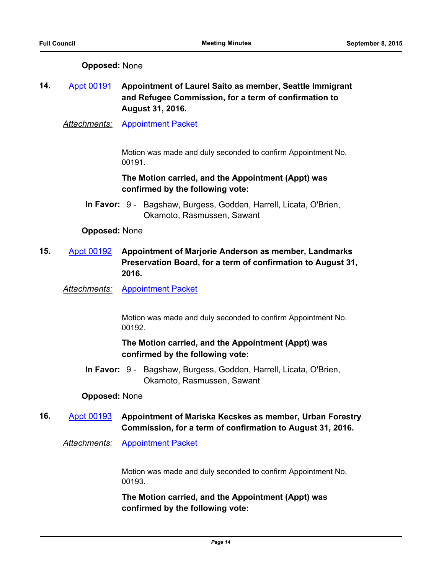### **Opposed:** None

# **14.** [Appt 00191](http://seattle.legistar.com/gateway.aspx?m=l&id=/matter.aspx?key=2803) **Appointment of Laurel Saito as member, Seattle Immigrant and Refugee Commission, for a term of confirmation to August 31, 2016.**

*Attachments:* [Appointment Packet](http://seattle.legistar.com/gateway.aspx?M=F&ID=82d6c7dd-cdd2-4655-8be9-0a2a560f2a6a.pdf)

Motion was made and duly seconded to confirm Appointment No. 00191.

# **The Motion carried, and the Appointment (Appt) was confirmed by the following vote:**

In Favor: 9 - Bagshaw, Burgess, Godden, Harrell, Licata, O'Brien, Okamoto, Rasmussen, Sawant

#### **Opposed:** None

- **15.** [Appt 00192](http://seattle.legistar.com/gateway.aspx?m=l&id=/matter.aspx?key=2804) **Appointment of Marjorie Anderson as member, Landmarks Preservation Board, for a term of confirmation to August 31, 2016.**
	- *Attachments:* [Appointment Packet](http://seattle.legistar.com/gateway.aspx?M=F&ID=9c5547be-5d09-4da1-a512-caf1057861c4.pdf)

Motion was made and duly seconded to confirm Appointment No. 00192.

# **The Motion carried, and the Appointment (Appt) was confirmed by the following vote:**

In Favor: 9 - Bagshaw, Burgess, Godden, Harrell, Licata, O'Brien, Okamoto, Rasmussen, Sawant

### **Opposed:** None

# **16.** [Appt 00193](http://seattle.legistar.com/gateway.aspx?m=l&id=/matter.aspx?key=2805) **Appointment of Mariska Kecskes as member, Urban Forestry Commission, for a term of confirmation to August 31, 2016.**

*Attachments:* [Appointment Packet](http://seattle.legistar.com/gateway.aspx?M=F&ID=38eaf585-cce7-4253-9d30-101827ea41df.pdf)

Motion was made and duly seconded to confirm Appointment No. 00193.

**The Motion carried, and the Appointment (Appt) was confirmed by the following vote:**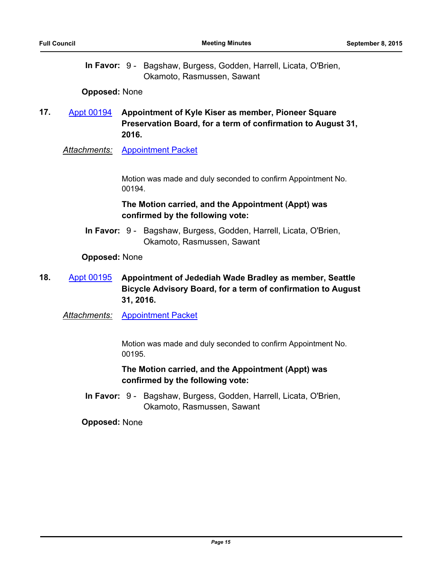In Favor: 9 - Bagshaw, Burgess, Godden, Harrell, Licata, O'Brien, Okamoto, Rasmussen, Sawant

#### **Opposed:** None

# **17.** [Appt 00194](http://seattle.legistar.com/gateway.aspx?m=l&id=/matter.aspx?key=2806) **Appointment of Kyle Kiser as member, Pioneer Square Preservation Board, for a term of confirmation to August 31, 2016.**

*Attachments:* [Appointment Packet](http://seattle.legistar.com/gateway.aspx?M=F&ID=c2ac5460-33a4-4b50-b85a-7fb1f6610e50.pdf)

Motion was made and duly seconded to confirm Appointment No. 00194.

### **The Motion carried, and the Appointment (Appt) was confirmed by the following vote:**

In Favor: 9 - Bagshaw, Burgess, Godden, Harrell, Licata, O'Brien, Okamoto, Rasmussen, Sawant

### **Opposed:** None

# **18.** [Appt 00195](http://seattle.legistar.com/gateway.aspx?m=l&id=/matter.aspx?key=2807) **Appointment of Jedediah Wade Bradley as member, Seattle Bicycle Advisory Board, for a term of confirmation to August 31, 2016.**

*Attachments:* [Appointment Packet](http://seattle.legistar.com/gateway.aspx?M=F&ID=37c80cba-b859-46be-bd4b-0ab8bc0b2940.pdf)

Motion was made and duly seconded to confirm Appointment No. 00195.

# **The Motion carried, and the Appointment (Appt) was confirmed by the following vote:**

In Favor: 9 - Bagshaw, Burgess, Godden, Harrell, Licata, O'Brien, Okamoto, Rasmussen, Sawant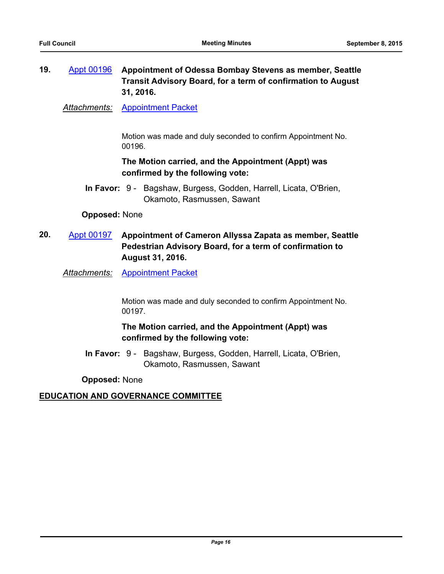# **19.** [Appt 00196](http://seattle.legistar.com/gateway.aspx?m=l&id=/matter.aspx?key=2808) **Appointment of Odessa Bombay Stevens as member, Seattle Transit Advisory Board, for a term of confirmation to August 31, 2016.**

*Attachments:* [Appointment Packet](http://seattle.legistar.com/gateway.aspx?M=F&ID=4e441d85-ee91-4217-acc4-4faf68487fb3.pdf)

Motion was made and duly seconded to confirm Appointment No. 00196.

# **The Motion carried, and the Appointment (Appt) was confirmed by the following vote:**

In Favor: 9 - Bagshaw, Burgess, Godden, Harrell, Licata, O'Brien, Okamoto, Rasmussen, Sawant

### **Opposed:** None

**20.** [Appt 00197](http://seattle.legistar.com/gateway.aspx?m=l&id=/matter.aspx?key=2809) **Appointment of Cameron Allyssa Zapata as member, Seattle Pedestrian Advisory Board, for a term of confirmation to August 31, 2016.**

*Attachments:* [Appointment Packet](http://seattle.legistar.com/gateway.aspx?M=F&ID=abad1c55-a58f-45d4-949b-208e514aaab7.pdf)

Motion was made and duly seconded to confirm Appointment No. 00197.

# **The Motion carried, and the Appointment (Appt) was confirmed by the following vote:**

In Favor: 9 - Bagshaw, Burgess, Godden, Harrell, Licata, O'Brien, Okamoto, Rasmussen, Sawant

**Opposed:** None

# **EDUCATION AND GOVERNANCE COMMITTEE**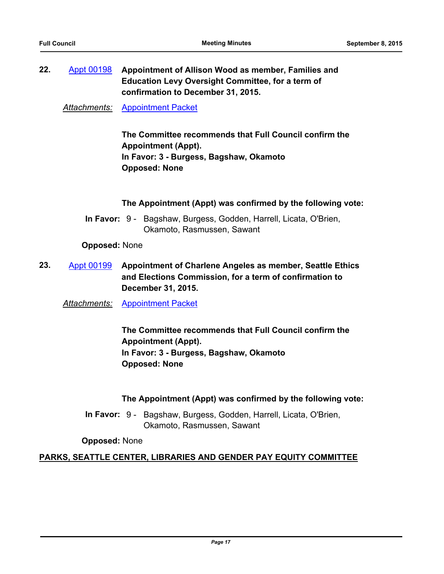**22.** [Appt 00198](http://seattle.legistar.com/gateway.aspx?m=l&id=/matter.aspx?key=2819) **Appointment of Allison Wood as member, Families and Education Levy Oversight Committee, for a term of confirmation to December 31, 2015.**

*Attachments:* [Appointment Packet](http://seattle.legistar.com/gateway.aspx?M=F&ID=f477965e-64d2-48d8-a8ec-695e2e7866d2.pdf)

**The Committee recommends that Full Council confirm the Appointment (Appt). In Favor: 3 - Burgess, Bagshaw, Okamoto Opposed: None**

**The Appointment (Appt) was confirmed by the following vote:**

In Favor: 9 - Bagshaw, Burgess, Godden, Harrell, Licata, O'Brien, Okamoto, Rasmussen, Sawant

**Opposed:** None

**23.** [Appt 00199](http://seattle.legistar.com/gateway.aspx?m=l&id=/matter.aspx?key=2820) **Appointment of Charlene Angeles as member, Seattle Ethics and Elections Commission, for a term of confirmation to December 31, 2015.**

*Attachments:* [Appointment Packet](http://seattle.legistar.com/gateway.aspx?M=F&ID=3331f9f2-d06b-4680-a5dd-6d479165d843.pdf)

**The Committee recommends that Full Council confirm the Appointment (Appt). In Favor: 3 - Burgess, Bagshaw, Okamoto Opposed: None**

**The Appointment (Appt) was confirmed by the following vote:**

In Favor: 9 - Bagshaw, Burgess, Godden, Harrell, Licata, O'Brien, Okamoto, Rasmussen, Sawant

**Opposed:** None

# **PARKS, SEATTLE CENTER, LIBRARIES AND GENDER PAY EQUITY COMMITTEE**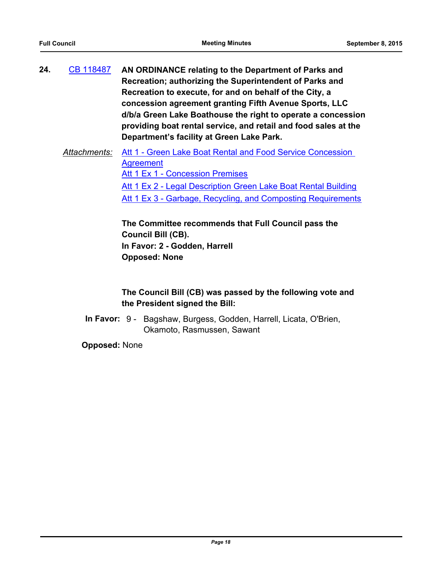**24.** [CB 118487](http://seattle.legistar.com/gateway.aspx?m=l&id=/matter.aspx?key=2538) **AN ORDINANCE relating to the Department of Parks and Recreation; authorizing the Superintendent of Parks and Recreation to execute, for and on behalf of the City, a concession agreement granting Fifth Avenue Sports, LLC d/b/a Green Lake Boathouse the right to operate a concession providing boat rental service, and retail and food sales at the Department's facility at Green Lake Park.**

# *Attachments:* [Att 1 - Green Lake Boat Rental and Food Service Concession](http://seattle.legistar.com/gateway.aspx?M=F&ID=2779846a-04c1-4ae8-a881-ae44267fbf69.docx)  **Agreement** [Att 1 Ex 1 - Concession Premises](http://seattle.legistar.com/gateway.aspx?M=F&ID=1259b959-92b5-47c7-9765-f6781fc2ca11.xlsx) [Att 1 Ex 2 - Legal Description Green Lake Boat Rental Building](http://seattle.legistar.com/gateway.aspx?M=F&ID=cd257a80-b45a-43e0-b4e9-5d462117efca.docx) [Att 1 Ex 3 - Garbage, Recycling, and Composting Requirements](http://seattle.legistar.com/gateway.aspx?M=F&ID=a3459f84-7af4-4dad-8eec-c3aa791cdd74.docx)

**The Committee recommends that Full Council pass the Council Bill (CB). In Favor: 2 - Godden, Harrell Opposed: None**

# **The Council Bill (CB) was passed by the following vote and the President signed the Bill:**

In Favor: 9 - Bagshaw, Burgess, Godden, Harrell, Licata, O'Brien, Okamoto, Rasmussen, Sawant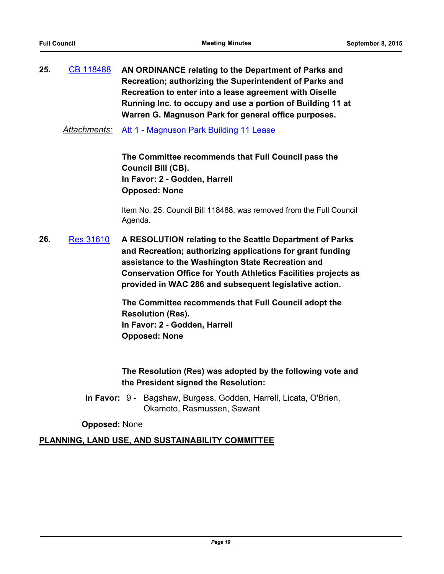**25.** [CB 118488](http://seattle.legistar.com/gateway.aspx?m=l&id=/matter.aspx?key=2763) **AN ORDINANCE relating to the Department of Parks and Recreation; authorizing the Superintendent of Parks and Recreation to enter into a lease agreement with Oiselle Running Inc. to occupy and use a portion of Building 11 at Warren G. Magnuson Park for general office purposes.**

*Attachments:* [Att 1 - Magnuson Park Building 11 Lease](http://seattle.legistar.com/gateway.aspx?M=F&ID=b2355aaf-3955-4f8b-9cbd-156c161b8d11.docx)

**The Committee recommends that Full Council pass the Council Bill (CB). In Favor: 2 - Godden, Harrell Opposed: None**

Item No. 25, Council Bill 118488, was removed from the Full Council Agenda.

**26.** [Res 31610](http://seattle.legistar.com/gateway.aspx?m=l&id=/matter.aspx?key=2746) **A RESOLUTION relating to the Seattle Department of Parks and Recreation; authorizing applications for grant funding assistance to the Washington State Recreation and Conservation Office for Youth Athletics Facilities projects as provided in WAC 286 and subsequent legislative action.**

> **The Committee recommends that Full Council adopt the Resolution (Res). In Favor: 2 - Godden, Harrell Opposed: None**

**The Resolution (Res) was adopted by the following vote and the President signed the Resolution:**

In Favor: 9 - Bagshaw, Burgess, Godden, Harrell, Licata, O'Brien, Okamoto, Rasmussen, Sawant

**Opposed:** None

### **PLANNING, LAND USE, AND SUSTAINABILITY COMMITTEE**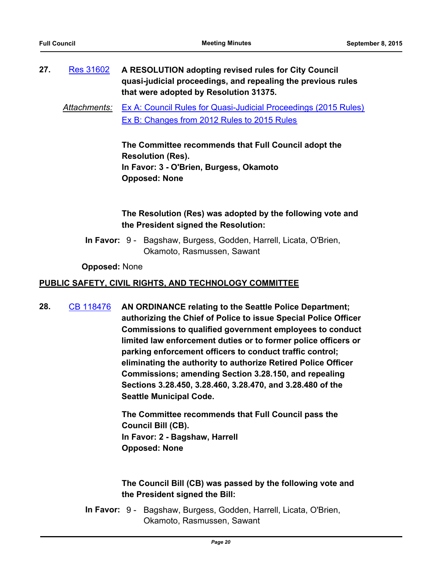- **27.** [Res 31602](http://seattle.legistar.com/gateway.aspx?m=l&id=/matter.aspx?key=2540) **A RESOLUTION adopting revised rules for City Council quasi-judicial proceedings, and repealing the previous rules that were adopted by Resolution 31375.**
	- *Attachments:* [Ex A: Council Rules for Quasi-Judicial Proceedings \(2015 Rules\)](http://seattle.legistar.com/gateway.aspx?M=F&ID=7707dd54-d611-4128-b34f-0cd09de8e1ac.docx) [Ex B: Changes from 2012 Rules to 2015 Rules](http://seattle.legistar.com/gateway.aspx?M=F&ID=9f188435-1f65-4282-8d31-67286bdb07b7.pdf)

**The Committee recommends that Full Council adopt the Resolution (Res). In Favor: 3 - O'Brien, Burgess, Okamoto Opposed: None**

# **The Resolution (Res) was adopted by the following vote and the President signed the Resolution:**

In Favor: 9 - Bagshaw, Burgess, Godden, Harrell, Licata, O'Brien, Okamoto, Rasmussen, Sawant

**Opposed:** None

### **PUBLIC SAFETY, CIVIL RIGHTS, AND TECHNOLOGY COMMITTEE**

**28.** [CB 118476](http://seattle.legistar.com/gateway.aspx?m=l&id=/matter.aspx?key=2591) **AN ORDINANCE relating to the Seattle Police Department; authorizing the Chief of Police to issue Special Police Officer Commissions to qualified government employees to conduct limited law enforcement duties or to former police officers or parking enforcement officers to conduct traffic control; eliminating the authority to authorize Retired Police Officer Commissions; amending Section 3.28.150, and repealing Sections 3.28.450, 3.28.460, 3.28.470, and 3.28.480 of the Seattle Municipal Code.**

> **The Committee recommends that Full Council pass the Council Bill (CB). In Favor: 2 - Bagshaw, Harrell Opposed: None**

# **The Council Bill (CB) was passed by the following vote and the President signed the Bill:**

In Favor: 9 - Bagshaw, Burgess, Godden, Harrell, Licata, O'Brien, Okamoto, Rasmussen, Sawant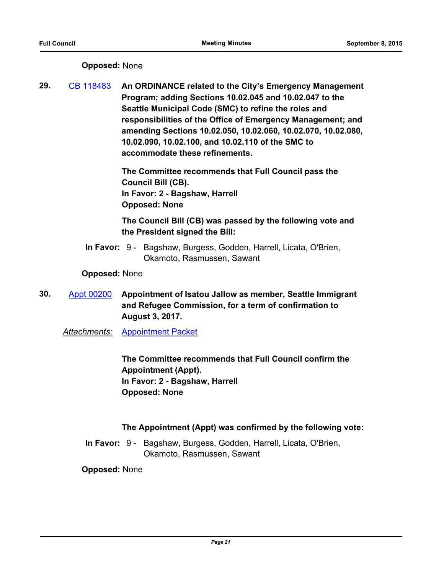# **Opposed:** None

**29.** [CB 118483](http://seattle.legistar.com/gateway.aspx?m=l&id=/matter.aspx?key=2720) **An ORDINANCE related to the City's Emergency Management Program; adding Sections 10.02.045 and 10.02.047 to the Seattle Municipal Code (SMC) to refine the roles and responsibilities of the Office of Emergency Management; and amending Sections 10.02.050, 10.02.060, 10.02.070, 10.02.080, 10.02.090, 10.02.100, and 10.02.110 of the SMC to accommodate these refinements.**

> **The Committee recommends that Full Council pass the Council Bill (CB). In Favor: 2 - Bagshaw, Harrell Opposed: None**

# **The Council Bill (CB) was passed by the following vote and the President signed the Bill:**

In Favor: 9 - Bagshaw, Burgess, Godden, Harrell, Licata, O'Brien, Okamoto, Rasmussen, Sawant

### **Opposed:** None

- **30.** [Appt 00200](http://seattle.legistar.com/gateway.aspx?m=l&id=/matter.aspx?key=2855) **Appointment of Isatou Jallow as member, Seattle Immigrant and Refugee Commission, for a term of confirmation to August 3, 2017.**
	- *Attachments:* [Appointment Packet](http://seattle.legistar.com/gateway.aspx?M=F&ID=3948c69d-c754-4430-914c-f021453cfa79.pdf)

**The Committee recommends that Full Council confirm the Appointment (Appt). In Favor: 2 - Bagshaw, Harrell Opposed: None**

# **The Appointment (Appt) was confirmed by the following vote:**

In Favor: 9 - Bagshaw, Burgess, Godden, Harrell, Licata, O'Brien, Okamoto, Rasmussen, Sawant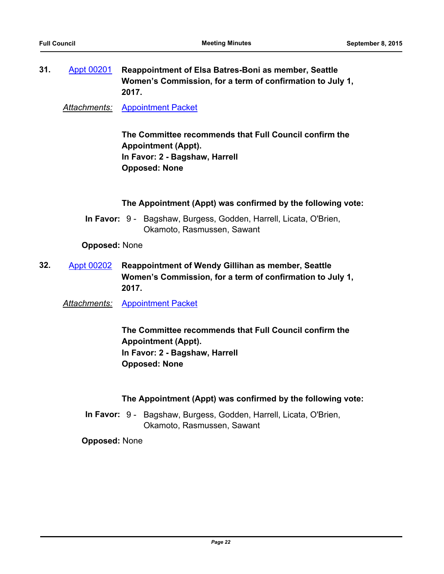**31.** [Appt 00201](http://seattle.legistar.com/gateway.aspx?m=l&id=/matter.aspx?key=2856) **Reappointment of Elsa Batres-Boni as member, Seattle Women's Commission, for a term of confirmation to July 1, 2017.**

*Attachments:* [Appointment Packet](http://seattle.legistar.com/gateway.aspx?M=F&ID=2b00fc8b-139e-4892-9902-13cb6fb72874.pdf)

**The Committee recommends that Full Council confirm the Appointment (Appt). In Favor: 2 - Bagshaw, Harrell Opposed: None**

#### **The Appointment (Appt) was confirmed by the following vote:**

In Favor: 9 - Bagshaw, Burgess, Godden, Harrell, Licata, O'Brien, Okamoto, Rasmussen, Sawant

**Opposed:** None

- **32.** [Appt 00202](http://seattle.legistar.com/gateway.aspx?m=l&id=/matter.aspx?key=2857) **Reappointment of Wendy Gillihan as member, Seattle Women's Commission, for a term of confirmation to July 1, 2017.**
	- *Attachments:* [Appointment Packet](http://seattle.legistar.com/gateway.aspx?M=F&ID=2768f2ac-89bd-4c2f-981d-b61648208d88.pdf)

**The Committee recommends that Full Council confirm the Appointment (Appt). In Favor: 2 - Bagshaw, Harrell Opposed: None**

### **The Appointment (Appt) was confirmed by the following vote:**

In Favor: 9 - Bagshaw, Burgess, Godden, Harrell, Licata, O'Brien, Okamoto, Rasmussen, Sawant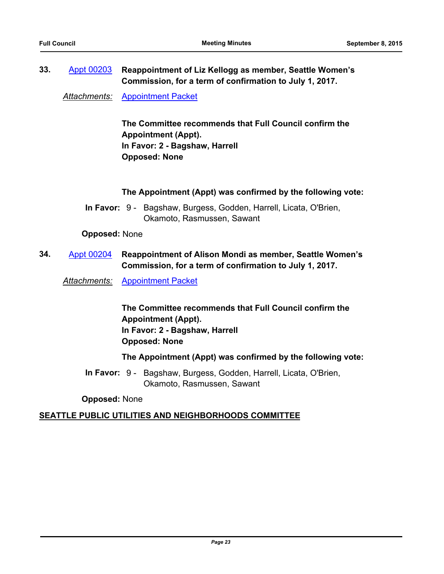# **33.** [Appt 00203](http://seattle.legistar.com/gateway.aspx?m=l&id=/matter.aspx?key=2858) **Reappointment of Liz Kellogg as member, Seattle Women's Commission, for a term of confirmation to July 1, 2017.**

*Attachments:* [Appointment Packet](http://seattle.legistar.com/gateway.aspx?M=F&ID=52850b7e-9f97-4f7d-8f4f-36441e31dea0.pdf)

**The Committee recommends that Full Council confirm the Appointment (Appt). In Favor: 2 - Bagshaw, Harrell Opposed: None**

#### **The Appointment (Appt) was confirmed by the following vote:**

In Favor: 9 - Bagshaw, Burgess, Godden, Harrell, Licata, O'Brien, Okamoto, Rasmussen, Sawant

#### **Opposed:** None

**34.** [Appt 00204](http://seattle.legistar.com/gateway.aspx?m=l&id=/matter.aspx?key=2859) **Reappointment of Alison Mondi as member, Seattle Women's Commission, for a term of confirmation to July 1, 2017.**

*Attachments:* [Appointment Packet](http://seattle.legistar.com/gateway.aspx?M=F&ID=b126f1d0-79eb-4d9a-9874-23d4bb956fda.pdf)

**The Committee recommends that Full Council confirm the Appointment (Appt). In Favor: 2 - Bagshaw, Harrell Opposed: None**

**The Appointment (Appt) was confirmed by the following vote:**

In Favor: 9 - Bagshaw, Burgess, Godden, Harrell, Licata, O'Brien, Okamoto, Rasmussen, Sawant

**Opposed:** None

# **SEATTLE PUBLIC UTILITIES AND NEIGHBORHOODS COMMITTEE**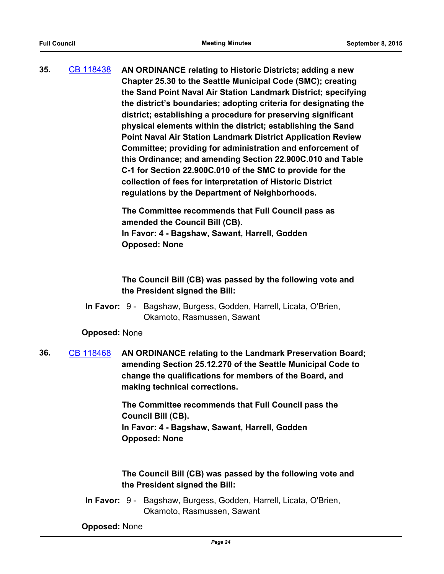**35.** [CB 118438](http://seattle.legistar.com/gateway.aspx?m=l&id=/matter.aspx?key=2479) **AN ORDINANCE relating to Historic Districts; adding a new Chapter 25.30 to the Seattle Municipal Code (SMC); creating the Sand Point Naval Air Station Landmark District; specifying the district's boundaries; adopting criteria for designating the district; establishing a procedure for preserving significant physical elements within the district; establishing the Sand Point Naval Air Station Landmark District Application Review Committee; providing for administration and enforcement of this Ordinance; and amending Section 22.900C.010 and Table C-1 for Section 22.900C.010 of the SMC to provide for the collection of fees for interpretation of Historic District regulations by the Department of Neighborhoods.**

> **The Committee recommends that Full Council pass as amended the Council Bill (CB). In Favor: 4 - Bagshaw, Sawant, Harrell, Godden Opposed: None**

**The Council Bill (CB) was passed by the following vote and the President signed the Bill:**

In Favor: 9 - Bagshaw, Burgess, Godden, Harrell, Licata, O'Brien, Okamoto, Rasmussen, Sawant

#### **Opposed:** None

**36.** [CB 118468](http://seattle.legistar.com/gateway.aspx?m=l&id=/matter.aspx?key=2767) **AN ORDINANCE relating to the Landmark Preservation Board; amending Section 25.12.270 of the Seattle Municipal Code to change the qualifications for members of the Board, and making technical corrections.**

> **The Committee recommends that Full Council pass the Council Bill (CB). In Favor: 4 - Bagshaw, Sawant, Harrell, Godden Opposed: None**

### **The Council Bill (CB) was passed by the following vote and the President signed the Bill:**

In Favor: 9 - Bagshaw, Burgess, Godden, Harrell, Licata, O'Brien, Okamoto, Rasmussen, Sawant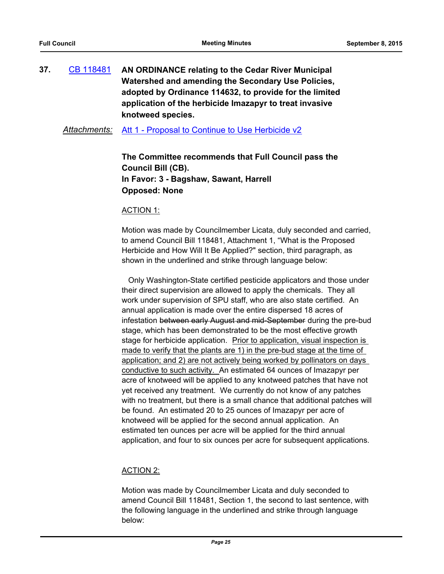**37.** [CB 118481](http://seattle.legistar.com/gateway.aspx?m=l&id=/matter.aspx?key=2642) **AN ORDINANCE relating to the Cedar River Municipal Watershed and amending the Secondary Use Policies, adopted by Ordinance 114632, to provide for the limited application of the herbicide Imazapyr to treat invasive knotweed species.**

*Attachments:* [Att 1 - Proposal to Continue to Use Herbicide v2](http://seattle.legistar.com/gateway.aspx?M=F&ID=e03fce76-d143-42cb-af00-ec883eeeb34a.docx)

**The Committee recommends that Full Council pass the Council Bill (CB). In Favor: 3 - Bagshaw, Sawant, Harrell Opposed: None**

#### ACTION 1:

Motion was made by Councilmember Licata, duly seconded and carried, to amend Council Bill 118481, Attachment 1, "What is the Proposed Herbicide and How Will It Be Applied?" section, third paragraph, as shown in the underlined and strike through language below:

 Only Washington-State certified pesticide applicators and those under their direct supervision are allowed to apply the chemicals. They all work under supervision of SPU staff, who are also state certified. An annual application is made over the entire dispersed 18 acres of infestation between early August and mid-September during the pre-bud stage, which has been demonstrated to be the most effective growth stage for herbicide application. Prior to application, visual inspection is made to verify that the plants are 1) in the pre-bud stage at the time of application; and 2) are not actively being worked by pollinators on days conductive to such activity. An estimated 64 ounces of Imazapyr per acre of knotweed will be applied to any knotweed patches that have not yet received any treatment. We currently do not know of any patches with no treatment, but there is a small chance that additional patches will be found. An estimated 20 to 25 ounces of Imazapyr per acre of knotweed will be applied for the second annual application. An estimated ten ounces per acre will be applied for the third annual application, and four to six ounces per acre for subsequent applications.

### ACTION 2:

Motion was made by Councilmember Licata and duly seconded to amend Council Bill 118481, Section 1, the second to last sentence, with the following language in the underlined and strike through language below: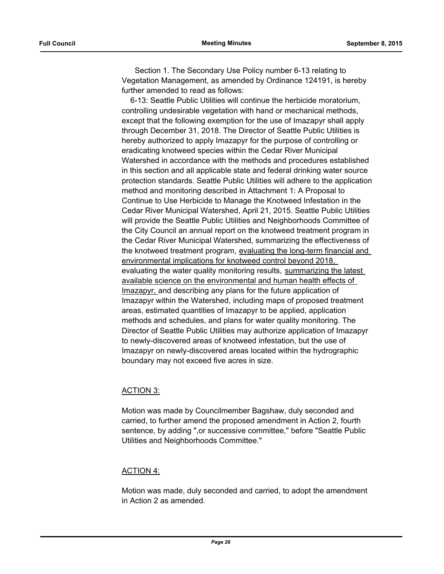Section 1. The Secondary Use Policy number 6-13 relating to Vegetation Management, as amended by Ordinance 124191, is hereby further amended to read as follows:

 6-13: Seattle Public Utilities will continue the herbicide moratorium, controlling undesirable vegetation with hand or mechanical methods, except that the following exemption for the use of Imazapyr shall apply through December 31, 2018. The Director of Seattle Public Utilities is hereby authorized to apply Imazapyr for the purpose of controlling or eradicating knotweed species within the Cedar River Municipal Watershed in accordance with the methods and procedures established in this section and all applicable state and federal drinking water source protection standards. Seattle Public Utilities will adhere to the application method and monitoring described in Attachment 1: A Proposal to Continue to Use Herbicide to Manage the Knotweed Infestation in the Cedar River Municipal Watershed, April 21, 2015. Seattle Public Utilities will provide the Seattle Public Utilities and Neighborhoods Committee of the City Council an annual report on the knotweed treatment program in the Cedar River Municipal Watershed, summarizing the effectiveness of the knotweed treatment program, evaluating the long-term financial and environmental implications for knotweed control beyond 2018, evaluating the water quality monitoring results, summarizing the latest available science on the environmental and human health effects of Imazapyr, and describing any plans for the future application of Imazapyr within the Watershed, including maps of proposed treatment areas, estimated quantities of Imazapyr to be applied, application methods and schedules, and plans for water quality monitoring. The Director of Seattle Public Utilities may authorize application of Imazapyr to newly-discovered areas of knotweed infestation, but the use of Imazapyr on newly-discovered areas located within the hydrographic boundary may not exceed five acres in size.

### ACTION 3:

Motion was made by Councilmember Bagshaw, duly seconded and carried, to further amend the proposed amendment in Action 2, fourth sentence, by adding ",or successive committee," before "Seattle Public Utilities and Neighborhoods Committee."

### ACTION 4:

Motion was made, duly seconded and carried, to adopt the amendment in Action 2 as amended.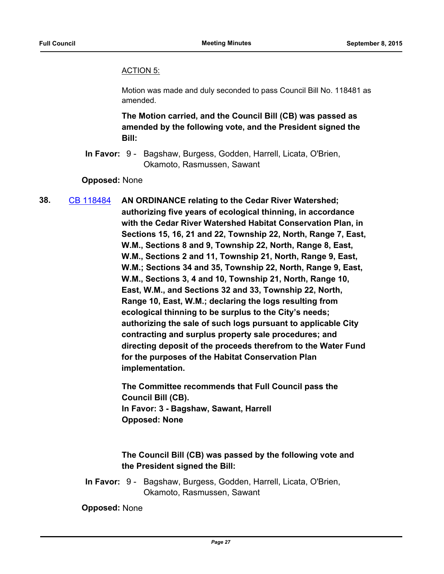#### ACTION 5:

Motion was made and duly seconded to pass Council Bill No. 118481 as amended.

**The Motion carried, and the Council Bill (CB) was passed as amended by the following vote, and the President signed the Bill:**

In Favor: 9 - Bagshaw, Burgess, Godden, Harrell, Licata, O'Brien, Okamoto, Rasmussen, Sawant

**Opposed:** None

**38.** [CB 118484](http://seattle.legistar.com/gateway.aspx?m=l&id=/matter.aspx?key=2781) **AN ORDINANCE relating to the Cedar River Watershed; authorizing five years of ecological thinning, in accordance with the Cedar River Watershed Habitat Conservation Plan, in Sections 15, 16, 21 and 22, Township 22, North, Range 7, East, W.M., Sections 8 and 9, Township 22, North, Range 8, East, W.M., Sections 2 and 11, Township 21, North, Range 9, East, W.M.; Sections 34 and 35, Township 22, North, Range 9, East, W.M., Sections 3, 4 and 10, Township 21, North, Range 10, East, W.M., and Sections 32 and 33, Township 22, North, Range 10, East, W.M.; declaring the logs resulting from ecological thinning to be surplus to the City's needs; authorizing the sale of such logs pursuant to applicable City contracting and surplus property sale procedures; and directing deposit of the proceeds therefrom to the Water Fund for the purposes of the Habitat Conservation Plan implementation.**

> **The Committee recommends that Full Council pass the Council Bill (CB). In Favor: 3 - Bagshaw, Sawant, Harrell Opposed: None**

**The Council Bill (CB) was passed by the following vote and the President signed the Bill:**

In Favor: 9 - Bagshaw, Burgess, Godden, Harrell, Licata, O'Brien, Okamoto, Rasmussen, Sawant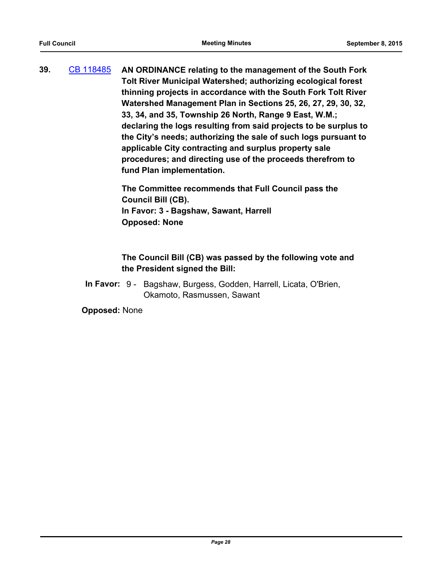**39.** [CB 118485](http://seattle.legistar.com/gateway.aspx?m=l&id=/matter.aspx?key=2782) **AN ORDINANCE relating to the management of the South Fork Tolt River Municipal Watershed; authorizing ecological forest thinning projects in accordance with the South Fork Tolt River Watershed Management Plan in Sections 25, 26, 27, 29, 30, 32, 33, 34, and 35, Township 26 North, Range 9 East, W.M.; declaring the logs resulting from said projects to be surplus to the City's needs; authorizing the sale of such logs pursuant to applicable City contracting and surplus property sale procedures; and directing use of the proceeds therefrom to fund Plan implementation.**

> **The Committee recommends that Full Council pass the Council Bill (CB). In Favor: 3 - Bagshaw, Sawant, Harrell Opposed: None**

# **The Council Bill (CB) was passed by the following vote and the President signed the Bill:**

In Favor: 9 - Bagshaw, Burgess, Godden, Harrell, Licata, O'Brien, Okamoto, Rasmussen, Sawant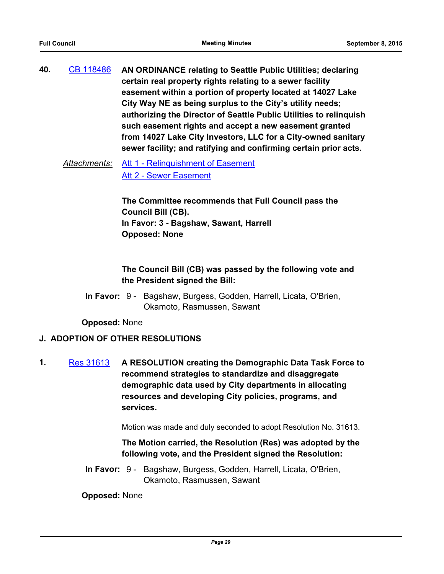**40.** [CB 118486](http://seattle.legistar.com/gateway.aspx?m=l&id=/matter.aspx?key=2788) **AN ORDINANCE relating to Seattle Public Utilities; declaring certain real property rights relating to a sewer facility easement within a portion of property located at 14027 Lake City Way NE as being surplus to the City's utility needs; authorizing the Director of Seattle Public Utilities to relinquish such easement rights and accept a new easement granted from 14027 Lake City Investors, LLC for a City-owned sanitary sewer facility; and ratifying and confirming certain prior acts.**

*Attachments:* [Att 1 - Relinquishment of Easement](http://seattle.legistar.com/gateway.aspx?M=F&ID=d352d801-24a7-4d90-b05b-3941c3357f5f.docx) [Att 2 - Sewer Easement](http://seattle.legistar.com/gateway.aspx?M=F&ID=1aa0a45f-debb-4cf3-8e79-93d1536183bd.docx)

> **The Committee recommends that Full Council pass the Council Bill (CB). In Favor: 3 - Bagshaw, Sawant, Harrell Opposed: None**

**The Council Bill (CB) was passed by the following vote and the President signed the Bill:**

In Favor: 9 - Bagshaw, Burgess, Godden, Harrell, Licata, O'Brien, Okamoto, Rasmussen, Sawant

**Opposed:** None

# **J. ADOPTION OF OTHER RESOLUTIONS**

**1.** [Res 31613](http://seattle.legistar.com/gateway.aspx?m=l&id=/matter.aspx?key=2868) **A RESOLUTION creating the Demographic Data Task Force to recommend strategies to standardize and disaggregate demographic data used by City departments in allocating resources and developing City policies, programs, and services.**

Motion was made and duly seconded to adopt Resolution No. 31613.

**The Motion carried, the Resolution (Res) was adopted by the following vote, and the President signed the Resolution:**

In Favor: 9 - Bagshaw, Burgess, Godden, Harrell, Licata, O'Brien, Okamoto, Rasmussen, Sawant